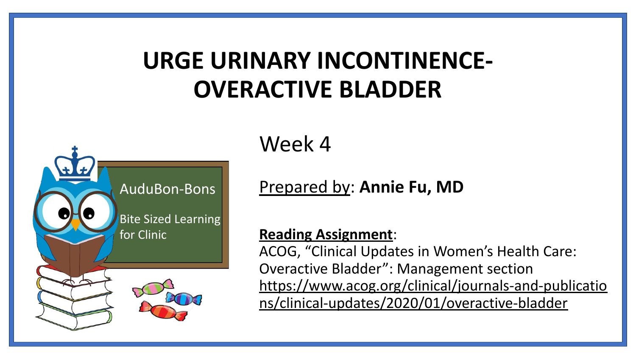## **URGE URINARY INCONTINENCE-OVERACTIVE BLADDER**



Week 4

Prepared by: **Annie Fu, MD**

#### **Reading Assignment**:

ACOG, "Clinical Updates in Women's Health Care: Overactive Bladder": Management section [https://www.acog.org/clinical/journals-and-publicatio](https://www.acog.org/clinical/journals-and-publications/clinical-updates/2020/01/overactive-bladder) [ns/clinical-updates/2020/01/overactive-bladder](https://www.acog.org/clinical/journals-and-publications/clinical-updates/2020/01/overactive-bladder)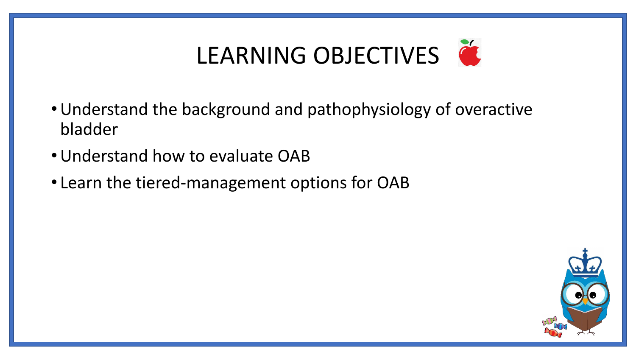# LEARNING OBJECTIVES

- •Understand the background and pathophysiology of overactive bladder
- •Understand how to evaluate OAB
- Learn the tiered-management options for OAB

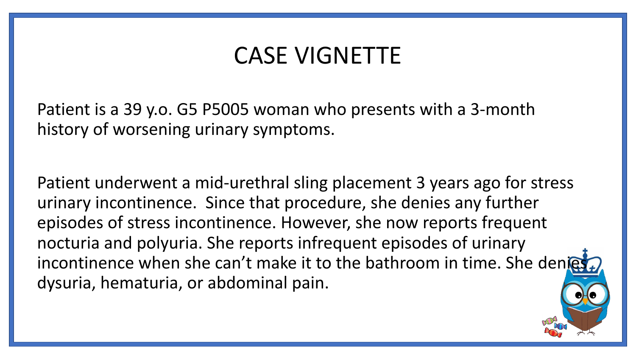### CASE VIGNETTE

Patient is a 39 y.o. G5 P5005 woman who presents with a 3-month history of worsening urinary symptoms.

Patient underwent a mid-urethral sling placement 3 years ago for stress urinary incontinence. Since that procedure, she denies any further episodes of stress incontinence. However, she now reports frequent nocturia and polyuria. She reports infrequent episodes of urinary incontinence when she can't make it to the bathroom in time. She denies dysuria, hematuria, or abdominal pain.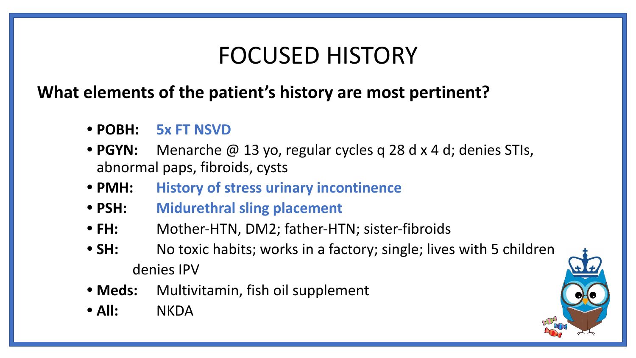### FOCUSED HISTORY

#### **What elements of the patient's history are most pertinent?**

- **• POBH: 5x FT NSVD**
- **• PGYN:** Menarche @ 13 yo, regular cycles q 28 d x 4 d; denies STIs, abnormal paps, fibroids, cysts
- **• PMH: History of stress urinary incontinence**
- **• PSH: Midurethral sling placement**
- **• FH:** Mother-HTN, DM2; father-HTN; sister-fibroids
- **SH:** No toxic habits; works in a factory; single; lives with 5 children denies IPV
- **• Meds:** Multivitamin, fish oil supplement
- **• All:** NKDA

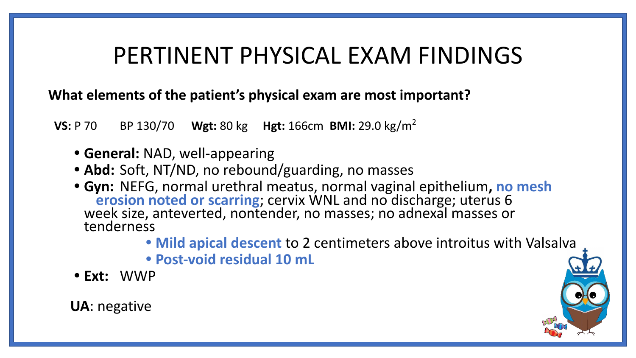### PERTINENT PHYSICAL EXAM FINDINGS

**What elements of the patient's physical exam are most important?** 

 **VS:** P 70 BP 130/70 **Wgt:** 80 kg **Hgt:** 166cm **BMI:** 29.0 kg/m<sup>2</sup>

- **• General:** NAD, well-appearing
- **• Abd:** Soft, NT/ND, no rebound/guarding, no masses
- **• Gyn:** NEFG, normal urethral meatus, normal vaginal epithelium**, no mesh erosion noted or scarring**; cervix WNL and no discharge; uterus 6 week size, anteverted, nontender, no masses; no adnexal masses or tenderness
	- **• Mild apical descent** to 2 centimeters above introitus with Valsalva
	- **• Post-void residual 10 mL**
- **• Ext:** WWP

**UA**: negative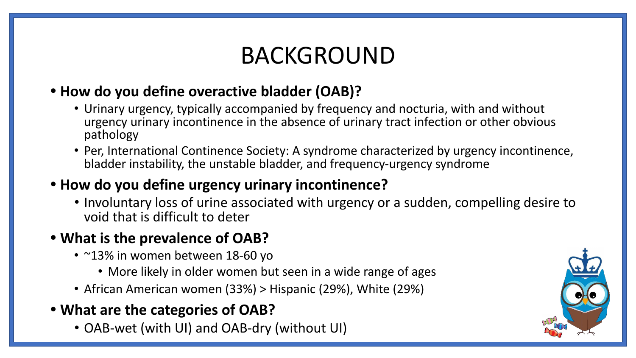## BACKGROUND

#### **• How do you define overactive bladder (OAB)?**

- Urinary urgency, typically accompanied by frequency and nocturia, with and without urgency urinary incontinence in the absence of urinary tract infection or other obvious pathology
- Per, International Continence Society: A syndrome characterized by urgency incontinence, bladder instability, the unstable bladder, and frequency-urgency syndrome

#### **• How do you define urgency urinary incontinence?**

• Involuntary loss of urine associated with urgency or a sudden, compelling desire to void that is difficult to deter

#### **• What is the prevalence of OAB?**

- ~13% in women between 18-60 yo
	- More likely in older women but seen in a wide range of ages
- African American women (33%) > Hispanic (29%), White (29%)
- **• What are the categories of OAB?**
	- OAB-wet (with UI) and OAB-dry (without UI)

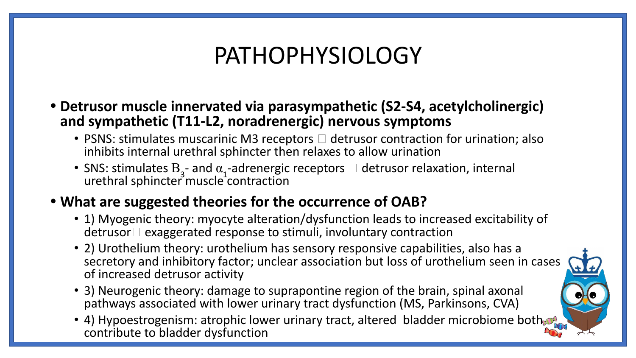### PATHOPHYSIOLOGY

- **• Detrusor muscle innervated via parasympathetic (S2-S4, acetylcholinergic) and sympathetic (T11-L2, noradrenergic) nervous symptoms**
	- PSNS: stimulates muscarinic M3 receptors  $\Box$  detrusor contraction for urination; also inhibits internal urethral sphincter then relaxes to allow urination
	- SNS: stimulates  $B_3$  and  $\alpha_1$ -adrenergic receptors  $\Box$  detrusor relaxation, internal urethral sphincter muscle contraction

#### **• What are suggested theories for the occurrence of OAB?**

- 1) Myogenic theory: myocyte alteration/dysfunction leads to increased excitability of  $\mathsf{d}$  exaggerated response to stimuli, involuntary contraction
- 2) Urothelium theory: urothelium has sensory responsive capabilities, also has a secretory and inhibitory factor; unclear association but loss of urothelium seen in cases of increased detrusor activity
- 3) Neurogenic theory: damage to suprapontine region of the brain, spinal axonal pathways associated with lower urinary tract dysfunction (MS, Parkinsons, CVA)
- 4) Hypoestrogenism: atrophic lower urinary tract, altered bladder microbiome both contribute to bladder dysfunction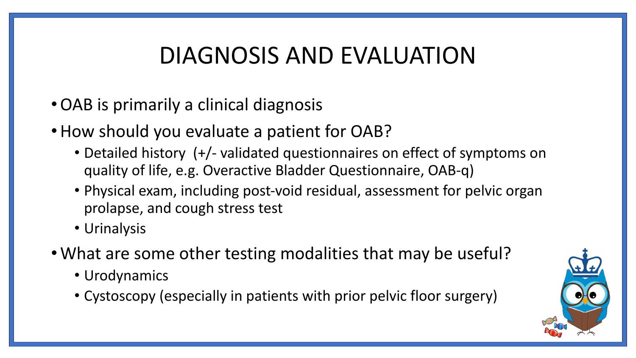## DIAGNOSIS AND EVALUATION

- •OAB is primarily a clinical diagnosis
- •How should you evaluate a patient for OAB?
	- Detailed history (+/- validated questionnaires on effect of symptoms on quality of life, e.g. Overactive Bladder Questionnaire, OAB-q)
	- Physical exam, including post-void residual, assessment for pelvic organ prolapse, and cough stress test
	- Urinalysis
- •What are some other testing modalities that may be useful?
	- Urodynamics
	- Cystoscopy (especially in patients with prior pelvic floor surgery)

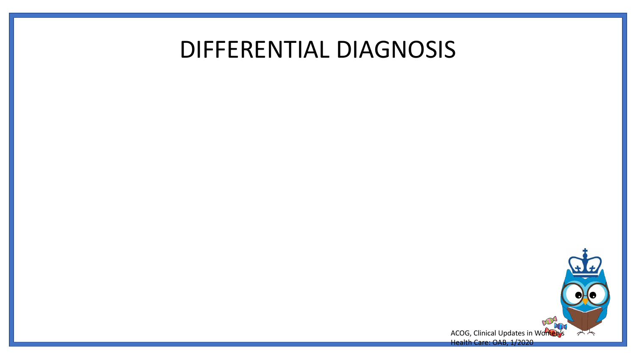### DIFFERENTIAL DIAGNOSIS



ACOG, Clinical Updates in Women's Health Care: OAB, 1/2020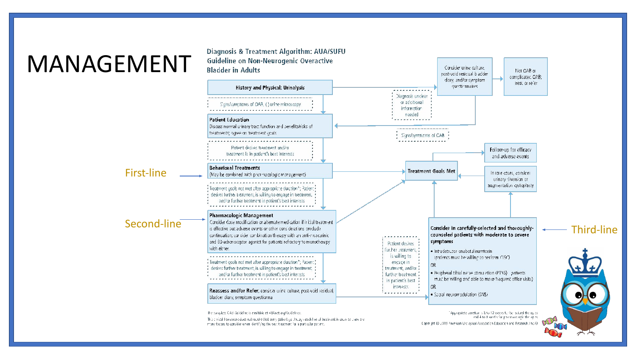## MANAGEMENT

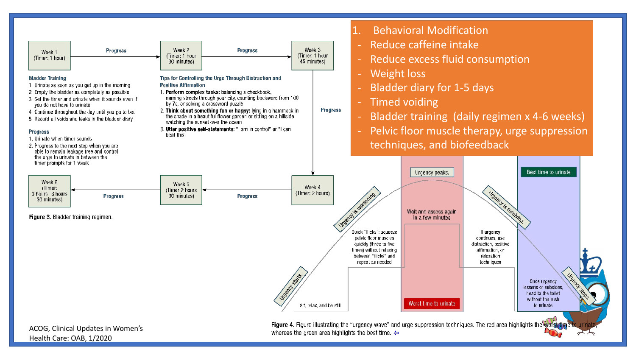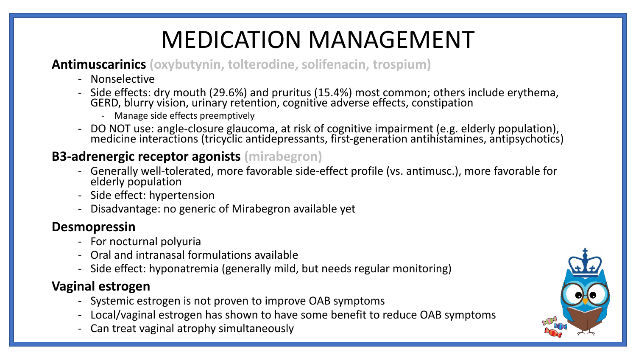# MEDICATION MANAGEMENT

#### **Antimuscarinics (oxybutynin, tolterodine, solifenacin, trospium)**

- Nonselective
- Side effects: dry mouth (29.6%) and pruritus (15.4%) most common; others include erythema, GERD, blurry vision, urinary retention, cognitive adverse effects, constipation
	- Manage side effects preemptively
- DO NOT use: angle-closure glaucoma, at risk of cognitive impairment (e.g. elderly population), medicine interactions (tricyclic antidepressants, first-generation antihistamines, antipsychotics)

#### **B3-adrenergic receptor agonists (mirabegron)**

- Generally well-tolerated, more favorable side-effect profile (vs. antimusc.), more favorable for elderly population
- Side effect: hypertension
- Disadvantage: no generic of Mirabegron available yet

#### **Desmopressin**

- For nocturnal polyuria
- Oral and intranasal formulations available
- Side effect: hyponatremia (generally mild, but needs regular monitoring)

#### **Vaginal estrogen**

- Systemic estrogen is not proven to improve OAB symptoms
- Local/vaginal estrogen has shown to have some benefit to reduce OAB symptoms
- Can treat vaginal atrophy simultaneously

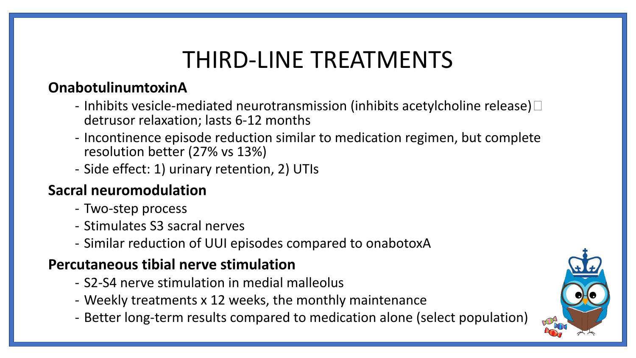## THIRD-LINE TREATMENTS

#### **OnabotulinumtoxinA**

- Inhibits vesicle-mediated neurotransmission (inhibits acetylcholine release) $\Box$ detrusor relaxation; lasts 6-12 months
- Incontinence episode reduction similar to medication regimen, but complete resolution better (27% vs 13%)
- Side effect: 1) urinary retention, 2) UTIs

#### **Sacral neuromodulation**

- Two-step process
- Stimulates S3 sacral nerves
- Similar reduction of UUI episodes compared to onabotoxA

#### **Percutaneous tibial nerve stimulation**

- S2-S4 nerve stimulation in medial malleolus
- Weekly treatments x 12 weeks, the monthly maintenance
- Better long-term results compared to medication alone (select population)

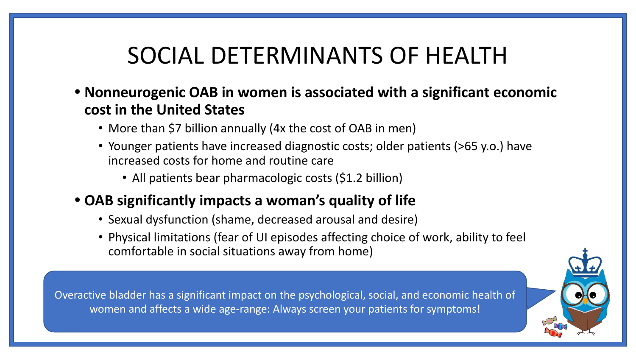### SOCIAL DETERMINANTS OF HEALTH

- **• Nonneurogenic OAB in women is associated with a significant economic cost in the United States**
	- More than \$7 billion annually (4x the cost of OAB in men)
	- Younger patients have increased diagnostic costs; older patients (>65 y.o.) have increased costs for home and routine care
		- All patients bear pharmacologic costs (\$1.2 billion)

#### **• OAB significantly impacts a woman's quality of life**

- Sexual dysfunction (shame, decreased arousal and desire)
- Physical limitations (fear of UI episodes affecting choice of work, ability to feel comfortable in social situations away from home)

Overactive bladder has a significant impact on the psychological, social, and economic health of women and affects a wide age-range: Always screen your patients for symptoms!

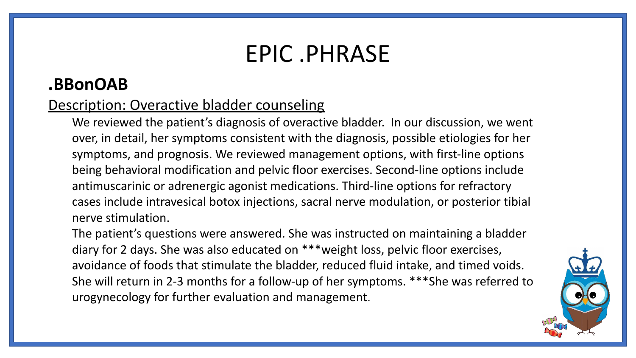### EPIC .PHRASE

#### **.BBonOAB**

#### Description: Overactive bladder counseling

We reviewed the patient's diagnosis of overactive bladder. In our discussion, we went over, in detail, her symptoms consistent with the diagnosis, possible etiologies for her symptoms, and prognosis. We reviewed management options, with first-line options being behavioral modification and pelvic floor exercises. Second-line options include antimuscarinic or adrenergic agonist medications. Third-line options for refractory cases include intravesical botox injections, sacral nerve modulation, or posterior tibial nerve stimulation.

The patient's questions were answered. She was instructed on maintaining a bladder diary for 2 days. She was also educated on \*\*\*weight loss, pelvic floor exercises, avoidance of foods that stimulate the bladder, reduced fluid intake, and timed voids. She will return in 2-3 months for a follow-up of her symptoms. \*\*\*She was referred to urogynecology for further evaluation and management.

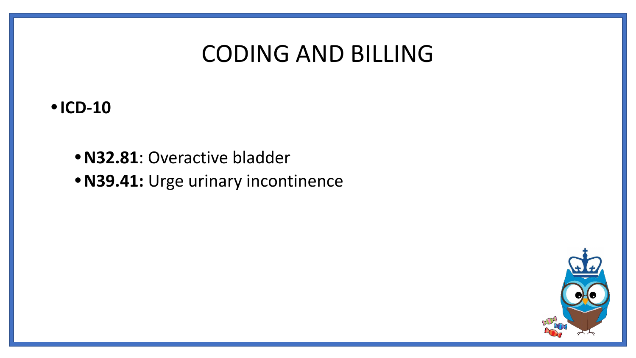### CODING AND BILLING

#### **•ICD-10**

**•N32.81**: Overactive bladder **•N39.41:** Urge urinary incontinence